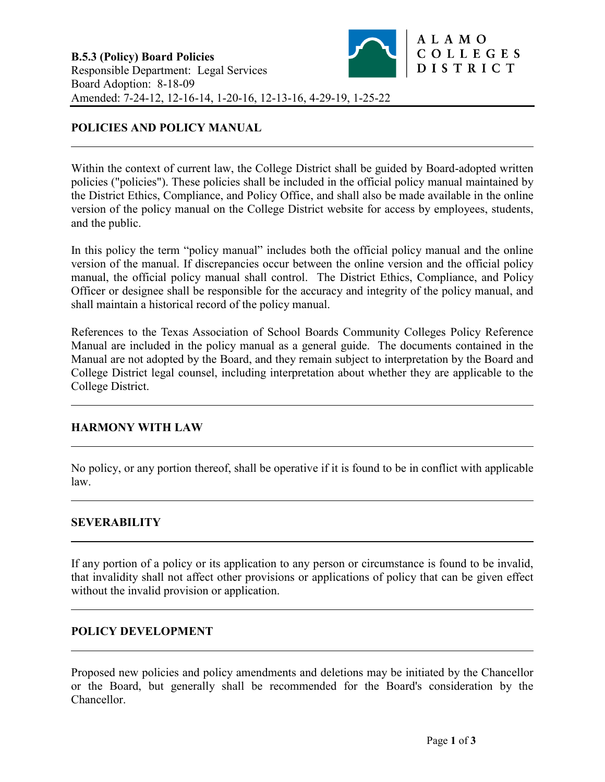Within the context of current law, the College District shall be guided by Board-adopted written policies ("policies"). These policies shall be included in the official policy manual maintained by the District Ethics, Compliance, and Policy Office, and shall also be made available in the online version of the policy manual on the College District website for access by employees, students, and the public.

In this policy the term "policy manual" includes both the official policy manual and the online version of the manual. If discrepancies occur between the online version and the official policy manual, the official policy manual shall control. The District Ethics, Compliance, and Policy Officer or designee shall be responsible for the accuracy and integrity of the policy manual, and shall maintain a historical record of the policy manual.

References to the Texas Association of School Boards Community Colleges Policy Reference Manual are included in the policy manual as a general guide. The documents contained in the Manual are not adopted by the Board, and they remain subject to interpretation by the Board and College District legal counsel, including interpretation about whether they are applicable to the College District.

# **HARMONY WITH LAW**

No policy, or any portion thereof, shall be operative if it is found to be in conflict with applicable law.

# **SEVERABILITY**

If any portion of a policy or its application to any person or circumstance is found to be invalid, that invalidity shall not affect other provisions or applications of policy that can be given effect without the invalid provision or application.

# **POLICY DEVELOPMENT**

Proposed new policies and policy amendments and deletions may be initiated by the Chancellor or the Board, but generally shall be recommended for the Board's consideration by the Chancellor.

ALAMO

COLLEGES DISTRICT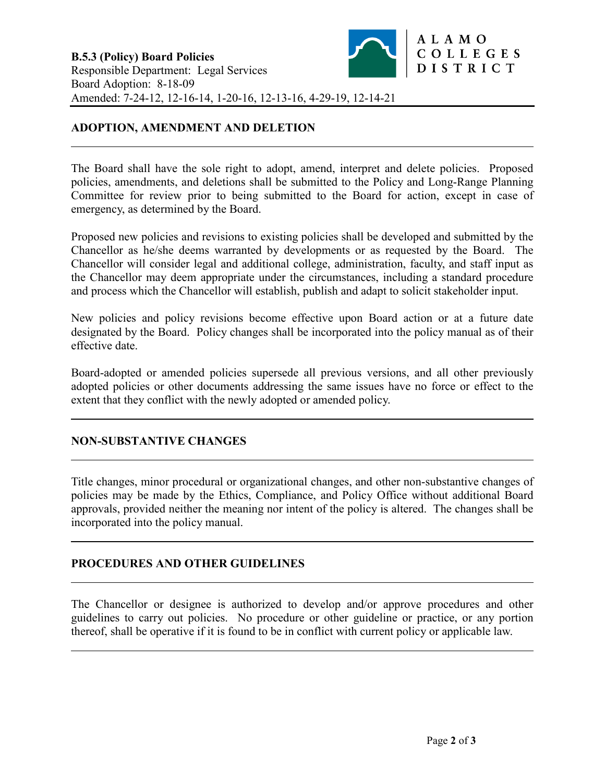# **ADOPTION, AMENDMENT AND DELETION**

The Board shall have the sole right to adopt, amend, interpret and delete policies. Proposed policies, amendments, and deletions shall be submitted to the Policy and Long-Range Planning Committee for review prior to being submitted to the Board for action, except in case of emergency, as determined by the Board.

Proposed new policies and revisions to existing policies shall be developed and submitted by the Chancellor as he/she deems warranted by developments or as requested by the Board. The Chancellor will consider legal and additional college, administration, faculty, and staff input as the Chancellor may deem appropriate under the circumstances, including a standard procedure and process which the Chancellor will establish, publish and adapt to solicit stakeholder input.

New policies and policy revisions become effective upon Board action or at a future date designated by the Board. Policy changes shall be incorporated into the policy manual as of their effective date.

Board-adopted or amended policies supersede all previous versions, and all other previously adopted policies or other documents addressing the same issues have no force or effect to the extent that they conflict with the newly adopted or amended policy.

# **NON-SUBSTANTIVE CHANGES**

Title changes, minor procedural or organizational changes, and other non-substantive changes of policies may be made by the Ethics, Compliance, and Policy Office without additional Board approvals, provided neither the meaning nor intent of the policy is altered. The changes shall be incorporated into the policy manual.

### **PROCEDURES AND OTHER GUIDELINES**

The Chancellor or designee is authorized to develop and/or approve procedures and other guidelines to carry out policies. No procedure or other guideline or practice, or any portion thereof, shall be operative if it is found to be in conflict with current policy or applicable law.

ALAMO

COLLEGES DISTRICT